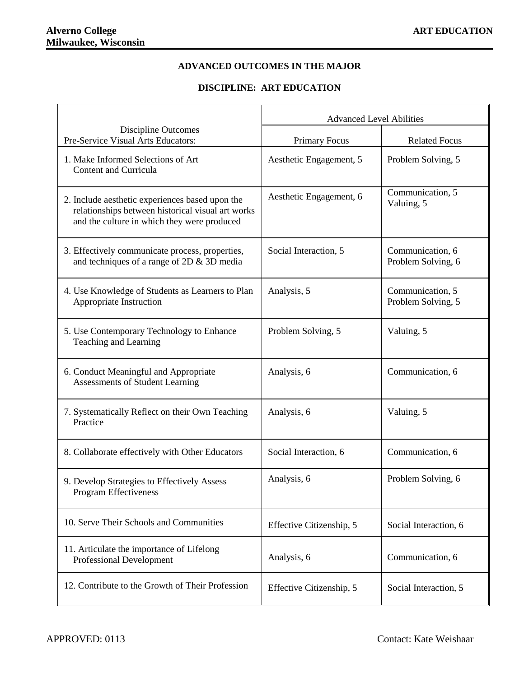## **ADVANCED OUTCOMES IN THE MAJOR**

## **DISCIPLINE: ART EDUCATION**

|                                                                                                                                                     | <b>Advanced Level Abilities</b> |                                        |
|-----------------------------------------------------------------------------------------------------------------------------------------------------|---------------------------------|----------------------------------------|
| Discipline Outcomes<br>Pre-Service Visual Arts Educators:                                                                                           | <b>Primary Focus</b>            | <b>Related Focus</b>                   |
| 1. Make Informed Selections of Art<br>Content and Curricula                                                                                         | Aesthetic Engagement, 5         | Problem Solving, 5                     |
| 2. Include aesthetic experiences based upon the<br>relationships between historical visual art works<br>and the culture in which they were produced | Aesthetic Engagement, 6         | Communication, 5<br>Valuing, 5         |
| 3. Effectively communicate process, properties,<br>and techniques of a range of $2D \& 3D$ media                                                    | Social Interaction, 5           | Communication, 6<br>Problem Solving, 6 |
| 4. Use Knowledge of Students as Learners to Plan<br>Appropriate Instruction                                                                         | Analysis, 5                     | Communication, 5<br>Problem Solving, 5 |
| 5. Use Contemporary Technology to Enhance<br>Teaching and Learning                                                                                  | Problem Solving, 5              | Valuing, 5                             |
| 6. Conduct Meaningful and Appropriate<br>Assessments of Student Learning                                                                            | Analysis, 6                     | Communication, 6                       |
| 7. Systematically Reflect on their Own Teaching<br>Practice                                                                                         | Analysis, 6                     | Valuing, 5                             |
| 8. Collaborate effectively with Other Educators                                                                                                     | Social Interaction, 6           | Communication, 6                       |
| 9. Develop Strategies to Effectively Assess<br>Program Effectiveness                                                                                | Analysis, 6                     | Problem Solving, 6                     |
| 10. Serve Their Schools and Communities                                                                                                             | Effective Citizenship, 5        | Social Interaction, 6                  |
| 11. Articulate the importance of Lifelong<br>Professional Development                                                                               | Analysis, 6                     | Communication, 6                       |
| 12. Contribute to the Growth of Their Profession                                                                                                    | Effective Citizenship, 5        | Social Interaction, 5                  |